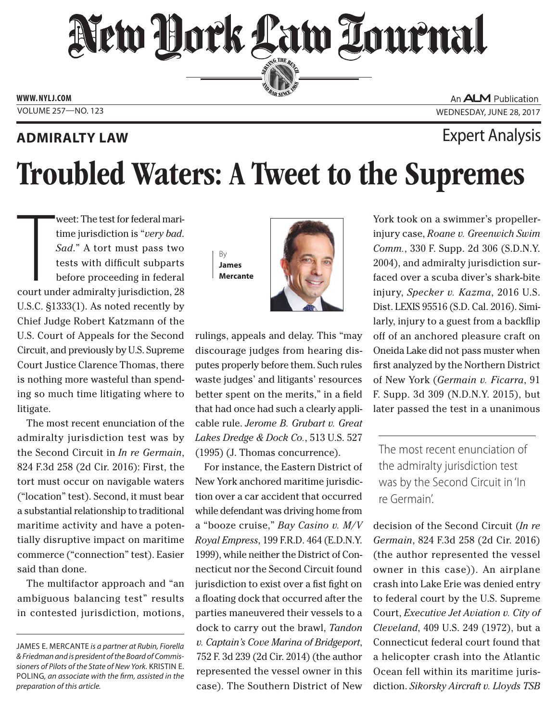## New Hork Law Lournal SERVING THE BEN

**ED BAR SINCE 188** 

**www. NYLJ.com**

### **ADMIRALTY LAW EXPERIMENT ADMIRALTY LAW**

An **ALM** Publication VOLUME 257 WOLUME 257 NO. 123

# Troubled Waters: A Tweet to the Supremes

Weet: The test for federal mari-<br>time jurisdiction is "*very bad.*<br>Sad." A tort must pass two<br>tests with difficult subparts<br>before proceeding in federal<br>court under admiralty jurisdiction, 28 weet: The test for federal maritime jurisdiction is "*very bad*. *Sad*." A tort must pass two tests with difficult subparts before proceeding in federal U.S.C. §1333(1). As noted recently by Chief Judge Robert Katzmann of the U.S. Court of Appeals for the Second Circuit, and previously by U.S. Supreme Court Justice Clarence Thomas, there is nothing more wasteful than spending so much time litigating where to litigate.

The most recent enunciation of the admiralty jurisdiction test was by the Second Circuit in *In re Germain*, 824 F.3d 258 (2d Cir. 2016): First, the tort must occur on navigable waters ("location" test). Second, it must bear a substantial relationship to traditional maritime activity and have a potentially disruptive impact on maritime commerce ("connection" test). Easier said than done.

The multifactor approach and "an ambiguous balancing test" results in contested jurisdiction, motions,



rulings, appeals and delay. This "may discourage judges from hearing disputes properly before them. Such rules waste judges' and litigants' resources better spent on the merits," in a field that had once had such a clearly applicable rule. *Jerome B. Grubart v. Great Lakes Dredge & Dock Co.*, 513 U.S. 527 (1995) (J. Thomas concurrence).

For instance, the Eastern District of New York anchored maritime jurisdiction over a car accident that occurred while defendant was driving home from a "booze cruise," *Bay Casino v. M/V Royal Empress*, 199 F.R.D. 464 (E.D.N.Y. 1999), while neither the District of Connecticut nor the Second Circuit found jurisdiction to exist over a fist fight on a floating dock that occurred after the parties maneuvered their vessels to a dock to carry out the brawl, *Tandon v. Captain's Cove Marina of Bridgeport*, 752 F. 3d 239 (2d Cir. 2014) (the author represented the vessel owner in this case). The Southern District of New

York took on a swimmer's propellerinjury case, *Roane v. Greenwich Swim Comm.*, 330 F. Supp. 2d 306 (S.D.N.Y. 2004), and admiralty jurisdiction surfaced over a scuba diver's shark-bite injury, *Specker v. Kazma*, 2016 U.S. Dist. LEXIS 95516 (S.D. Cal. 2016). Similarly, injury to a guest from a backflip off of an anchored pleasure craft on Oneida Lake did not pass muster when first analyzed by the Northern District of New York (*Germain v. Ficarra*, 91 F. Supp. 3d 309 (N.D.N.Y. 2015), but later passed the test in a unanimous

The most recent enunciation of the admiralty jurisdiction test was by the Second Circuit in 'In re Germain'.

decision of the Second Circuit (*In re Germain*, 824 F.3d 258 (2d Cir. 2016) (the author represented the vessel owner in this case)). An airplane crash into Lake Erie was denied entry to federal court by the U.S. Supreme Court, *Executive Jet Aviation v. City of Cleveland*, 409 U.S. 249 (1972), but a Connecticut federal court found that a helicopter crash into the Atlantic Ocean fell within its maritime jurisdiction. *Sikorsky Aircraft v. Lloyds TSB* 

James E. Mercante *is a partner at Rubin, Fiorella & Friedman and is president of the Board of Commissioners of Pilots of the State of New York.* Kristin E. Poling*, an associate with the firm, assisted in the preparation of this article.*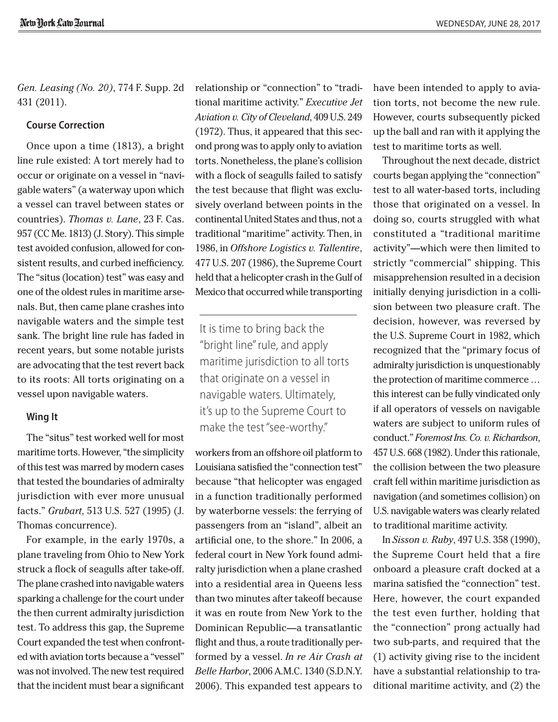New York Law Tournal

*Gen. Leasing (No. 20)*, 774 F. Supp. 2d 431 (2011).

### **Course Correction**

Once upon a time (1813), a bright line rule existed: A tort merely had to occur or originate on a vessel in "navigable waters" (a waterway upon which a vessel can travel between states or countries). *Thomas v. Lane*, 23 F. Cas. 957 (CC Me. 1813) (J. Story). This simple test avoided confusion, allowed for consistent results, and curbed inefficiency. The "situs (location) test" was easy and one of the oldest rules in maritime arsenals. But, then came plane crashes into navigable waters and the simple test sank. The bright line rule has faded in recent years, but some notable jurists are advocating that the test revert back to its roots: All torts originating on a vessel upon navigable waters.

### **Wing It**

The "situs" test worked well for most maritime torts. However, "the simplicity of this test was marred by modern cases that tested the boundaries of admiralty jurisdiction with ever more unusual facts." *Grubart*, 513 U.S. 527 (1995) (J. Thomas concurrence).

For example, in the early 1970s, a plane traveling from Ohio to New York struck a flock of seagulls after take-off. The plane crashed into navigable waters sparking a challenge for the court under the then current admiralty jurisdiction test. To address this gap, the Supreme Court expanded the test when confronted with aviation torts because a "vessel" was not involved. The new test required that the incident must bear a significant relationship or "connection" to "traditional maritime activity." *Executive Jet Aviation v. City of Cleveland*, 409 U.S. 249 (1972). Thus, it appeared that this second prong was to apply only to aviation torts. Nonetheless, the plane's collision with a flock of seagulls failed to satisfy the test because that flight was exclusively overland between points in the continental United States and thus, not a traditional "maritime" activity. Then, in 1986, in *Offshore Logistics v. Tallentire*, 477 U.S. 207 (1986), the Supreme Court held that a helicopter crash in the Gulf of Mexico that occurred while transporting

It is time to bring back the "bright line" rule, and apply maritime jurisdiction to all torts that originate on a vessel in navigable waters. Ultimately, it's up to the Supreme Court to make the test "see-worthy."

workers from an offshore oil platform to Louisiana satisfied the "connection test" because "that helicopter was engaged in a function traditionally performed by waterborne vessels: the ferrying of passengers from an "island", albeit an artificial one, to the shore." In 2006, a federal court in New York found admiralty jurisdiction when a plane crashed into a residential area in Queens less than two minutes after takeoff because it was en route from New York to the Dominican Republic—a transatlantic flight and thus, a route traditionally performed by a vessel. *In re Air Crash at Belle Harbor*, 2006 A.M.C. 1340 (S.D.N.Y. 2006). This expanded test appears to

have been intended to apply to aviation torts, not become the new rule. However, courts subsequently picked up the ball and ran with it applying the test to maritime torts as well.

Throughout the next decade, district courts began applying the "connection" test to all water-based torts, including those that originated on a vessel. In doing so, courts struggled with what constituted a "traditional maritime activity"—which were then limited to strictly "commercial" shipping. This misapprehension resulted in a decision initially denying jurisdiction in a collision between two pleasure craft. The decision, however, was reversed by the U.S. Supreme Court in 1982, which recognized that the "primary focus of admiralty jurisdiction is unquestionably the protection of maritime commerce … this interest can be fully vindicated only if all operators of vessels on navigable waters are subject to uniform rules of conduct." *Foremost Ins. Co. v. Richardson*, 457 U.S. 668 (1982). Under this rationale, the collision between the two pleasure craft fell within maritime jurisdiction as navigation (and sometimes collision) on U.S. navigable waters was clearly related to traditional maritime activity.

In *Sisson v. Ruby*, 497 U.S. 358 (1990), the Supreme Court held that a fire onboard a pleasure craft docked at a marina satisfied the "connection" test. Here, however, the court expanded the test even further, holding that the "connection" prong actually had two sub-parts, and required that the (1) activity giving rise to the incident have a substantial relationship to traditional maritime activity, and (2) the